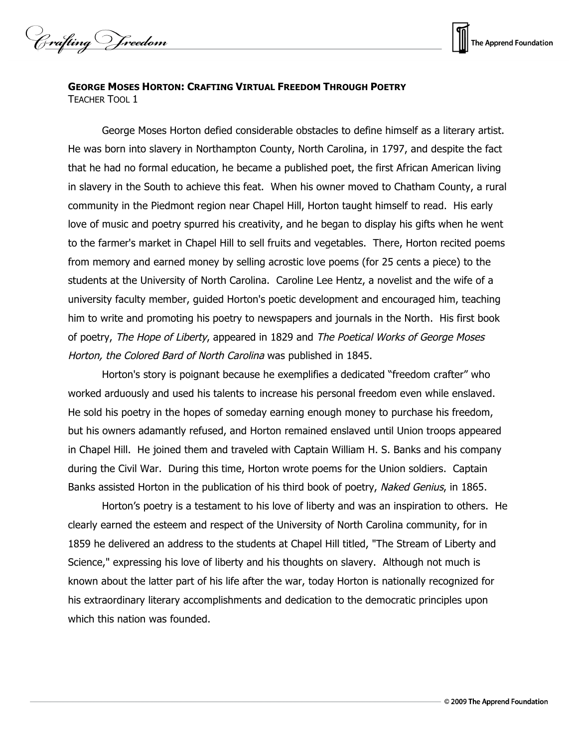Crafting Vreedom



## **GEORGE MOSES HORTON: CRAFTING VIRTUAL FREEDOM THROUGH POETRY** TEACHER TOOL 1

George Moses Horton defied considerable obstacles to define himself as a literary artist. He was born into slavery in Northampton County, North Carolina, in 1797, and despite the fact that he had no formal education, he became a published poet, the first African American living in slavery in the South to achieve this feat. When his owner moved to Chatham County, a rural community in the Piedmont region near Chapel Hill, Horton taught himself to read. His early love of music and poetry spurred his creativity, and he began to display his gifts when he went to the farmer's market in Chapel Hill to sell fruits and vegetables. There, Horton recited poems from memory and earned money by selling acrostic love poems (for 25 cents a piece) to the students at the University of North Carolina. Caroline Lee Hentz, a novelist and the wife of a university faculty member, guided Horton's poetic development and encouraged him, teaching him to write and promoting his poetry to newspapers and journals in the North. His first book of poetry, The Hope of Liberty, appeared in 1829 and The Poetical Works of George Moses Horton, the Colored Bard of North Carolina was published in 1845.

Horton's story is poignant because he exemplifies a dedicated "freedom crafter" who worked arduously and used his talents to increase his personal freedom even while enslaved. He sold his poetry in the hopes of someday earning enough money to purchase his freedom, but his owners adamantly refused, and Horton remained enslaved until Union troops appeared in Chapel Hill. He joined them and traveled with Captain William H. S. Banks and his company during the Civil War. During this time, Horton wrote poems for the Union soldiers. Captain Banks assisted Horton in the publication of his third book of poetry, Naked Genius, in 1865.

Horton's poetry is a testament to his love of liberty and was an inspiration to others. He clearly earned the esteem and respect of the University of North Carolina community, for in 1859 he delivered an address to the students at Chapel Hill titled, "The Stream of Liberty and Science," expressing his love of liberty and his thoughts on slavery. Although not much is known about the latter part of his life after the war, today Horton is nationally recognized for his extraordinary literary accomplishments and dedication to the democratic principles upon which this nation was founded.